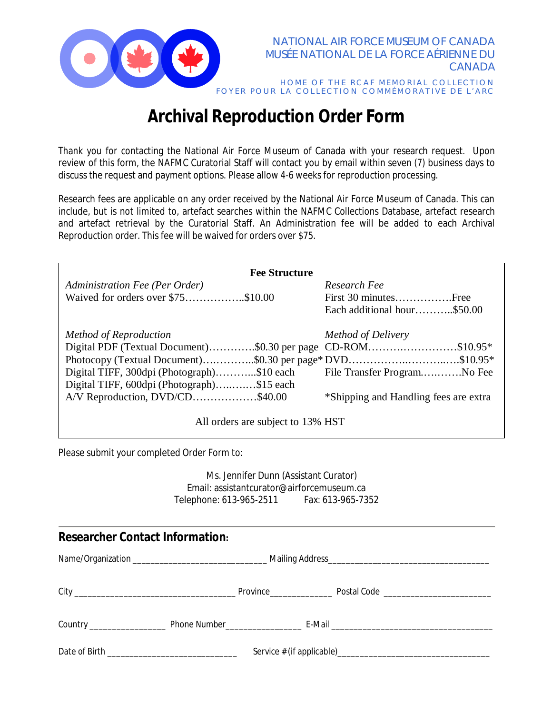

## **Archival Reproduction Order Form**

Thank you for contacting the National Air Force Museum of Canada with your research request. Upon review of this form, the NAFMC Curatorial Staff will contact you by email within seven (7) business days to discuss the request and payment options. Please allow 4-6 weeks for reproduction processing.

Research fees are applicable on any order received by the National Air Force Museum of Canada. This can include, but is not limited to, artefact searches within the NAFMC Collections Database, artefact research and artefact retrieval by the Curatorial Staff. An Administration fee will be added to each Archival Reproduction order. This fee will be waived for orders over \$75.

| <b>Fee Structure</b>                                         |                                       |  |  |  |
|--------------------------------------------------------------|---------------------------------------|--|--|--|
| Administration Fee (Per Order)                               | Research Fee                          |  |  |  |
| Waived for orders over \$75\$10.00                           | First 30 minutesFree                  |  |  |  |
|                                                              | Each additional hour\$50.00           |  |  |  |
| Method of Reproduction                                       | Method of Delivery                    |  |  |  |
| Digital PDF (Textual Document)\$0.30 per page CD-ROM\$10.95* |                                       |  |  |  |
| Photocopy (Textual Document)\$0.30 per page* DVD\$10.95*     |                                       |  |  |  |
| Digital TIFF, 300dpi (Photograph)\$10 each                   | File Transfer ProgramNo Fee           |  |  |  |
| Digital TIFF, 600dpi (Photograph)\$15 each                   |                                       |  |  |  |
| A/V Reproduction, DVD/CD\$40.00                              | *Shipping and Handling fees are extra |  |  |  |
| All orders are subject to 13% HST                            |                                       |  |  |  |

Please submit your completed Order Form to:

Ms. Jennifer Dunn (Assistant Curator) Email: assistantcurator@airforcemuseum.ca Telephone: 613-965-2511 Fax: 613-965-7352

# **Researcher Contact Information:** Name/Organization \_\_\_\_\_\_\_\_\_\_\_\_\_\_\_\_\_\_\_\_\_\_\_\_\_\_\_\_\_\_ Mailing Address\_\_\_\_\_\_\_\_\_\_\_\_\_\_\_\_\_\_\_\_\_\_\_\_\_\_\_\_\_\_\_\_\_\_\_\_ City **Change Code Code Code Code Code Code Code Code Code Code Code Code Code Code Code Code Code Code Code Code Code Code Code Code Code Code Code Code Code Code** Country \_\_\_\_\_\_\_\_\_\_\_\_\_\_\_\_\_ Phone Number\_\_\_\_\_\_\_\_\_\_\_\_\_\_\_\_\_ E-Mail \_\_\_\_\_\_\_\_\_\_\_\_\_\_\_\_\_\_\_\_\_\_\_\_\_\_\_\_\_\_\_\_\_\_\_\_ Date of Birth \_\_\_\_\_\_\_\_\_\_\_\_\_\_\_\_\_\_\_\_\_\_\_\_\_\_\_\_\_ Service # (if applicable)\_\_\_\_\_\_\_\_\_\_\_\_\_\_\_\_\_\_\_\_\_\_\_\_\_\_\_\_\_\_\_\_\_\_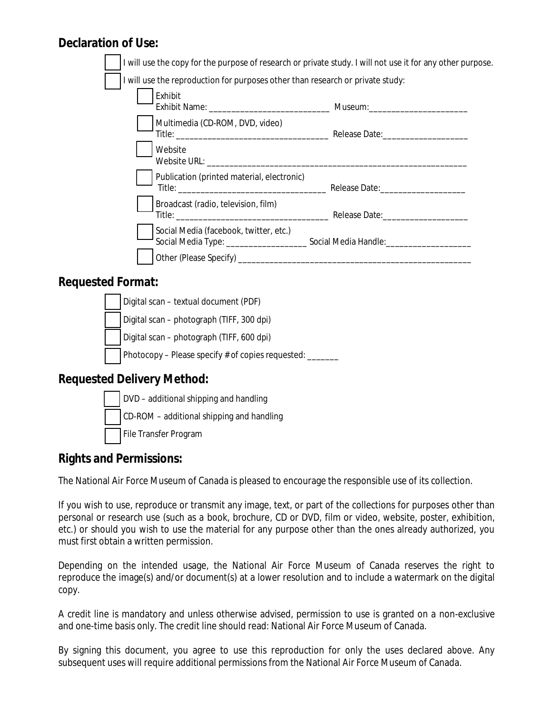#### **Declaration of Use:**

|                                                                                |                                            | I will use the copy for the purpose of research or private study. I will not use it for any other purpose. |  |  |
|--------------------------------------------------------------------------------|--------------------------------------------|------------------------------------------------------------------------------------------------------------|--|--|
| I will use the reproduction for purposes other than research or private study: |                                            |                                                                                                            |  |  |
|                                                                                | Exhibit                                    |                                                                                                            |  |  |
|                                                                                | Multimedia (CD-ROM, DVD, video)            |                                                                                                            |  |  |
|                                                                                | Website                                    |                                                                                                            |  |  |
|                                                                                | Publication (printed material, electronic) |                                                                                                            |  |  |
|                                                                                | Broadcast (radio, television, film)        | Title: Release Date:                                                                                       |  |  |
|                                                                                | Social Media (facebook, twitter, etc.)     | Social Media Type: __________________________________Social Media Handle: _________________________        |  |  |
|                                                                                |                                            |                                                                                                            |  |  |

#### **Requested Format:**



#### **Requested Delivery Method:**



#### **Rights and Permissions:**

The National Air Force Museum of Canada is pleased to encourage the responsible use of its collection.

If you wish to use, reproduce or transmit any image, text, or part of the collections for purposes other than personal or research use (such as a book, brochure, CD or DVD, film or video, website, poster, exhibition, etc.) or should you wish to use the material for any purpose other than the ones already authorized, you must first obtain a written permission.

Depending on the intended usage, the National Air Force Museum of Canada reserves the right to reproduce the image(s) and/or document(s) at a lower resolution and to include a watermark on the digital copy.

A credit line is mandatory and unless otherwise advised, permission to use is granted on a non-exclusive and one-time basis only. The credit line should read: National Air Force Museum of Canada.

By signing this document, you agree to use this reproduction for only the uses declared above. Any subsequent uses will require additional permissions from the National Air Force Museum of Canada.